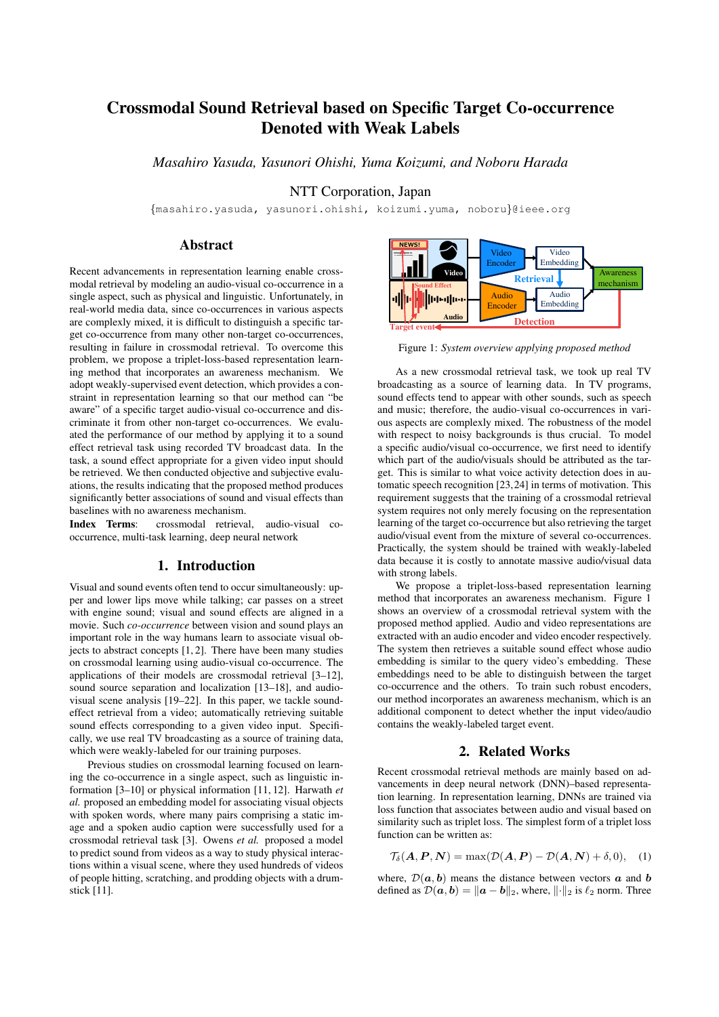# Crossmodal Sound Retrieval based on Specific Target Co-occurrence Denoted with Weak Labels

*Masahiro Yasuda, Yasunori Ohishi, Yuma Koizumi, and Noboru Harada*

NTT Corporation, Japan

{masahiro.yasuda, yasunori.ohishi, koizumi.yuma, noboru}@ieee.org

# Abstract

Recent advancements in representation learning enable crossmodal retrieval by modeling an audio-visual co-occurrence in a single aspect, such as physical and linguistic. Unfortunately, in real-world media data, since co-occurrences in various aspects are complexly mixed, it is difficult to distinguish a specific target co-occurrence from many other non-target co-occurrences, resulting in failure in crossmodal retrieval. To overcome this problem, we propose a triplet-loss-based representation learning method that incorporates an awareness mechanism. We adopt weakly-supervised event detection, which provides a constraint in representation learning so that our method can "be aware" of a specific target audio-visual co-occurrence and discriminate it from other non-target co-occurrences. We evaluated the performance of our method by applying it to a sound effect retrieval task using recorded TV broadcast data. In the task, a sound effect appropriate for a given video input should be retrieved. We then conducted objective and subjective evaluations, the results indicating that the proposed method produces significantly better associations of sound and visual effects than baselines with no awareness mechanism.

Index Terms: crossmodal retrieval, audio-visual cooccurrence, multi-task learning, deep neural network

## 1. Introduction

Visual and sound events often tend to occur simultaneously: upper and lower lips move while talking; car passes on a street with engine sound; visual and sound effects are aligned in a movie. Such *co-occurrence* between vision and sound plays an important role in the way humans learn to associate visual objects to abstract concepts  $[1, 2]$ . There have been many studies on crossmodal learning using audio-visual co-occurrence. The applications of their models are crossmodal retrieval [3–12], sound source separation and localization [13–18], and audiovisual scene analysis [19–22]. In this paper, we tackle soundeffect retrieval from a video; automatically retrieving suitable sound effects corresponding to a given video input. Specifically, we use real TV broadcasting as a source of training data, which were weakly-labeled for our training purposes.

Previous studies on crossmodal learning focused on learning the co-occurrence in a single aspect, such as linguistic information [3–10] or physical information [11, 12]. Harwath *et al.* proposed an embedding model for associating visual objects with spoken words, where many pairs comprising a static image and a spoken audio caption were successfully used for a crossmodal retrieval task [3]. Owens *et al.* proposed a model to predict sound from videos as a way to study physical interactions within a visual scene, where they used hundreds of videos of people hitting, scratching, and prodding objects with a drumstick [11].



Figure 1: *System overview applying proposed method*

As a new crossmodal retrieval task, we took up real TV broadcasting as a source of learning data. In TV programs, sound effects tend to appear with other sounds, such as speech and music; therefore, the audio-visual co-occurrences in various aspects are complexly mixed. The robustness of the model with respect to noisy backgrounds is thus crucial. To model a specific audio/visual co-occurrence, we first need to identify which part of the audio/visuals should be attributed as the target. This is similar to what voice activity detection does in automatic speech recognition [23,24] in terms of motivation. This requirement suggests that the training of a crossmodal retrieval system requires not only merely focusing on the representation learning of the target co-occurrence but also retrieving the target audio/visual event from the mixture of several co-occurrences. Practically, the system should be trained with weakly-labeled data because it is costly to annotate massive audio/visual data with strong labels.

We propose a triplet-loss-based representation learning method that incorporates an awareness mechanism. Figure 1 shows an overview of a crossmodal retrieval system with the proposed method applied. Audio and video representations are extracted with an audio encoder and video encoder respectively. The system then retrieves a suitable sound effect whose audio embedding is similar to the query video's embedding. These embeddings need to be able to distinguish between the target co-occurrence and the others. To train such robust encoders, our method incorporates an awareness mechanism, which is an additional component to detect whether the input video/audio contains the weakly-labeled target event.

## 2. Related Works

Recent crossmodal retrieval methods are mainly based on advancements in deep neural network (DNN)–based representation learning. In representation learning, DNNs are trained via loss function that associates between audio and visual based on similarity such as triplet loss. The simplest form of a triplet loss function can be written as:

$$
\mathcal{T}_{\delta}(\mathbf{A}, \mathbf{P}, \mathbf{N}) = \max(\mathcal{D}(\mathbf{A}, \mathbf{P}) - \mathcal{D}(\mathbf{A}, \mathbf{N}) + \delta, 0), \quad (1)
$$

where,  $\mathcal{D}(\boldsymbol{a}, \boldsymbol{b})$  means the distance between vectors  $\boldsymbol{a}$  and  $\boldsymbol{b}$ defined as  $\mathcal{D}(\boldsymbol{a}, \boldsymbol{b}) = ||\boldsymbol{a} - \boldsymbol{b}||_2$ , where,  $|| \cdot ||_2$  is  $\ell_2$  norm. Three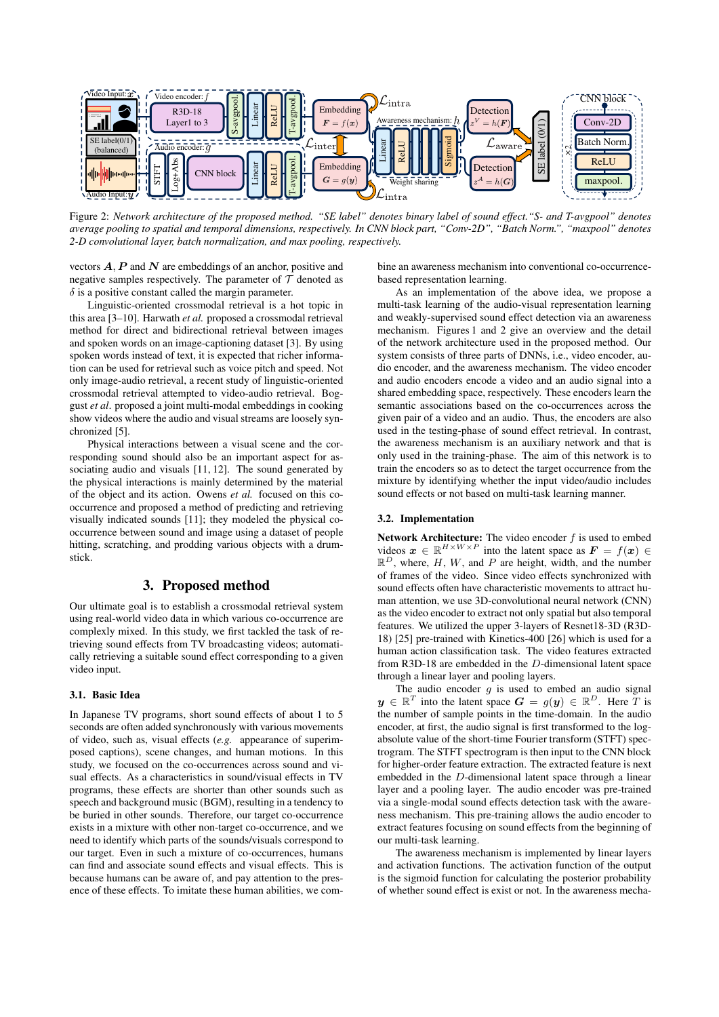

Figure 2: *Network architecture of the proposed method. "SE label" denotes binary label of sound effect."S- and T-avgpool" denotes average pooling to spatial and temporal dimensions, respectively. In CNN block part, "Conv-2D", "Batch Norm.", "maxpool" denotes 2-D convolutional layer, batch normalization, and max pooling, respectively.*

vectors  $A$ ,  $P$  and  $N$  are embeddings of an anchor, positive and negative samples respectively. The parameter of  $T$  denoted as  $\delta$  is a positive constant called the margin parameter.

Linguistic-oriented crossmodal retrieval is a hot topic in this area [3–10]. Harwath *et al.* proposed a crossmodal retrieval method for direct and bidirectional retrieval between images and spoken words on an image-captioning dataset [3]. By using spoken words instead of text, it is expected that richer information can be used for retrieval such as voice pitch and speed. Not only image-audio retrieval, a recent study of linguistic-oriented crossmodal retrieval attempted to video-audio retrieval. Boggust *et al*. proposed a joint multi-modal embeddings in cooking show videos where the audio and visual streams are loosely synchronized [5].

Physical interactions between a visual scene and the corresponding sound should also be an important aspect for associating audio and visuals [11, 12]. The sound generated by the physical interactions is mainly determined by the material of the object and its action. Owens *et al.* focused on this cooccurrence and proposed a method of predicting and retrieving visually indicated sounds [11]; they modeled the physical cooccurrence between sound and image using a dataset of people hitting, scratching, and prodding various objects with a drumstick.

### 3. Proposed method

Our ultimate goal is to establish a crossmodal retrieval system using real-world video data in which various co-occurrence are complexly mixed. In this study, we first tackled the task of retrieving sound effects from TV broadcasting videos; automatically retrieving a suitable sound effect corresponding to a given video input.

#### 3.1. Basic Idea

In Japanese TV programs, short sound effects of about 1 to 5 seconds are often added synchronously with various movements of video, such as, visual effects (*e.g.* appearance of superimposed captions), scene changes, and human motions. In this study, we focused on the co-occurrences across sound and visual effects. As a characteristics in sound/visual effects in TV programs, these effects are shorter than other sounds such as speech and background music (BGM), resulting in a tendency to be buried in other sounds. Therefore, our target co-occurrence exists in a mixture with other non-target co-occurrence, and we need to identify which parts of the sounds/visuals correspond to our target. Even in such a mixture of co-occurrences, humans can find and associate sound effects and visual effects. This is because humans can be aware of, and pay attention to the presence of these effects. To imitate these human abilities, we com-

bine an awareness mechanism into conventional co-occurrencebased representation learning.

As an implementation of the above idea, we propose a multi-task learning of the audio-visual representation learning and weakly-supervised sound effect detection via an awareness mechanism. Figures 1 and 2 give an overview and the detail of the network architecture used in the proposed method. Our system consists of three parts of DNNs, i.e., video encoder, audio encoder, and the awareness mechanism. The video encoder and audio encoders encode a video and an audio signal into a shared embedding space, respectively. These encoders learn the semantic associations based on the co-occurrences across the given pair of a video and an audio. Thus, the encoders are also used in the testing-phase of sound effect retrieval. In contrast, the awareness mechanism is an auxiliary network and that is only used in the training-phase. The aim of this network is to train the encoders so as to detect the target occurrence from the mixture by identifying whether the input video/audio includes sound effects or not based on multi-task learning manner.

#### 3.2. Implementation

Network Architecture: The video encoder  $f$  is used to embed videos  $\mathbf{x} \in \mathbb{R}^{H \times W \times P}$  into the latent space as  $\mathbf{F} = f(\mathbf{x}) \in$  $\mathbb{R}^D$ , where, H, W, and P are height, width, and the number of frames of the video. Since video effects synchronized with sound effects often have characteristic movements to attract human attention, we use 3D-convolutional neural network (CNN) as the video encoder to extract not only spatial but also temporal features. We utilized the upper 3-layers of Resnet18-3D (R3D-18) [25] pre-trained with Kinetics-400 [26] which is used for a human action classification task. The video features extracted from R3D-18 are embedded in the D-dimensional latent space through a linear layer and pooling layers.

The audio encoder  $g$  is used to embed an audio signal  $y \in \mathbb{R}^T$  into the latent space  $G = g(y) \in \mathbb{R}^D$ . Here  $\overline{T}$  is the number of sample points in the time-domain. In the audio encoder, at first, the audio signal is first transformed to the logabsolute value of the short-time Fourier transform (STFT) spectrogram. The STFT spectrogram is then input to the CNN block for higher-order feature extraction. The extracted feature is next embedded in the D-dimensional latent space through a linear layer and a pooling layer. The audio encoder was pre-trained via a single-modal sound effects detection task with the awareness mechanism. This pre-training allows the audio encoder to extract features focusing on sound effects from the beginning of our multi-task learning.

The awareness mechanism is implemented by linear layers and activation functions. The activation function of the output is the sigmoid function for calculating the posterior probability of whether sound effect is exist or not. In the awareness mecha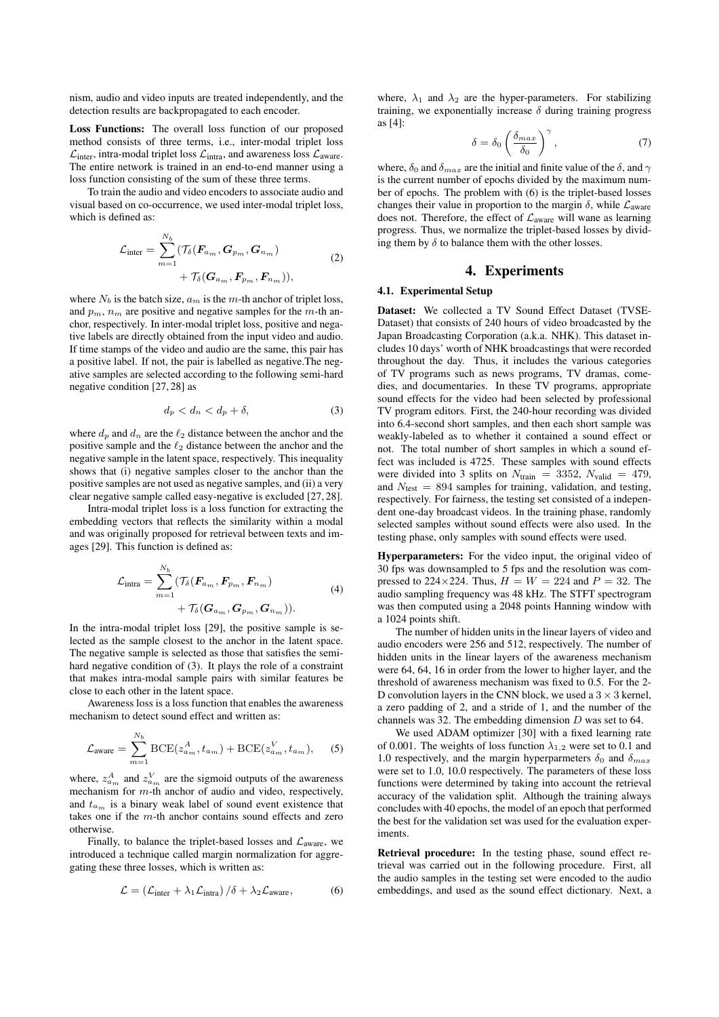nism, audio and video inputs are treated independently, and the detection results are backpropagated to each encoder.

Loss Functions: The overall loss function of our proposed method consists of three terms, i.e., inter-modal triplet loss  $\mathcal{L}_{\text{inter}}$ , intra-modal triplet loss  $\mathcal{L}_{\text{intra}}$ , and awareness loss  $\mathcal{L}_{\text{average}}$ . The entire network is trained in an end-to-end manner using a loss function consisting of the sum of these three terms.

To train the audio and video encoders to associate audio and visual based on co-occurrence, we used inter-modal triplet loss, which is defined as:

$$
\mathcal{L}_{\text{inter}} = \sum_{m=1}^{N_b} (\mathcal{T}_{\delta}(\mathbf{F}_{a_m}, \mathbf{G}_{p_m}, \mathbf{G}_{n_m}) + \mathcal{T}_{\delta}(\mathbf{G}_{a_m}, \mathbf{F}_{p_m}, \mathbf{F}_{n_m})),
$$
\n(2)

where  $N_b$  is the batch size,  $a_m$  is the m-th anchor of triplet loss, and  $p_m$ ,  $n_m$  are positive and negative samples for the m-th anchor, respectively. In inter-modal triplet loss, positive and negative labels are directly obtained from the input video and audio. If time stamps of the video and audio are the same, this pair has a positive label. If not, the pair is labelled as negative.The negative samples are selected according to the following semi-hard negative condition [27, 28] as

$$
d_p < d_n < d_p + \delta,\tag{3}
$$

where  $d_n$  and  $d_n$  are the  $\ell_2$  distance between the anchor and the positive sample and the  $\ell_2$  distance between the anchor and the negative sample in the latent space, respectively. This inequality shows that (i) negative samples closer to the anchor than the positive samples are not used as negative samples, and (ii) a very clear negative sample called easy-negative is excluded [27, 28].

Intra-modal triplet loss is a loss function for extracting the embedding vectors that reflects the similarity within a modal and was originally proposed for retrieval between texts and images [29]. This function is defined as:

$$
\mathcal{L}_{\text{intra}} = \sum_{m=1}^{N_b} (\mathcal{T}_{\delta}(\mathbf{F}_{a_m}, \mathbf{F}_{p_m}, \mathbf{F}_{n_m}) + \mathcal{T}_{\delta}(\mathbf{G}_{a_m}, \mathbf{G}_{p_m}, \mathbf{G}_{n_m})).
$$
\n(4)

In the intra-modal triplet loss [29], the positive sample is selected as the sample closest to the anchor in the latent space. The negative sample is selected as those that satisfies the semihard negative condition of (3). It plays the role of a constraint that makes intra-modal sample pairs with similar features be close to each other in the latent space.

Awareness loss is a loss function that enables the awareness mechanism to detect sound effect and written as:

$$
\mathcal{L}_{\text{average}} = \sum_{m=1}^{N_b} \text{BCE}(z_{a_m}^A, t_{a_m}) + \text{BCE}(z_{a_m}^V, t_{a_m}), \quad (5)
$$

where,  $z_{a_m}^A$  and  $z_{a_m}^V$  are the sigmoid outputs of the awareness mechanism for m-th anchor of audio and video, respectively, and  $t_{a_m}$  is a binary weak label of sound event existence that takes one if the m-th anchor contains sound effects and zero otherwise.

Finally, to balance the triplet-based losses and  $\mathcal{L}_{\text{average}}$ , we introduced a technique called margin normalization for aggregating these three losses, which is written as:

$$
\mathcal{L} = \left(\mathcal{L}_{\text{inter}} + \lambda_1 \mathcal{L}_{\text{intra}}\right) / \delta + \lambda_2 \mathcal{L}_{\text{average}},\tag{6}
$$

where,  $\lambda_1$  and  $\lambda_2$  are the hyper-parameters. For stabilizing training, we exponentially increase  $\delta$  during training progress as [4]:

$$
\delta = \delta_0 \left( \frac{\delta_{max}}{\delta_0} \right)^{\gamma}, \tag{7}
$$

where,  $\delta_0$  and  $\delta_{max}$  are the initial and finite value of the  $\delta$ , and  $\gamma$ is the current number of epochs divided by the maximum number of epochs. The problem with (6) is the triplet-based losses changes their value in proportion to the margin  $\delta$ , while  $\mathcal{L}_{\text{average}}$ does not. Therefore, the effect of  $\mathcal{L}_{\text{average}}$  will wane as learning progress. Thus, we normalize the triplet-based losses by dividing them by  $\delta$  to balance them with the other losses.

# 4. Experiments

#### 4.1. Experimental Setup

Dataset: We collected a TV Sound Effect Dataset (TVSE-Dataset) that consists of 240 hours of video broadcasted by the Japan Broadcasting Corporation (a.k.a. NHK). This dataset includes 10 days' worth of NHK broadcastings that were recorded throughout the day. Thus, it includes the various categories of TV programs such as news programs, TV dramas, comedies, and documentaries. In these TV programs, appropriate sound effects for the video had been selected by professional TV program editors. First, the 240-hour recording was divided into 6.4-second short samples, and then each short sample was weakly-labeled as to whether it contained a sound effect or not. The total number of short samples in which a sound effect was included is 4725. These samples with sound effects were divided into 3 splits on  $N_{\text{train}} = 3352$ ,  $N_{\text{valid}} = 479$ , and  $N_{\text{test}} = 894$  samples for training, validation, and testing, respectively. For fairness, the testing set consisted of a independent one-day broadcast videos. In the training phase, randomly selected samples without sound effects were also used. In the testing phase, only samples with sound effects were used.

Hyperparameters: For the video input, the original video of 30 fps was downsampled to 5 fps and the resolution was compressed to 224×224. Thus,  $H = W = 224$  and  $P = 32$ . The audio sampling frequency was 48 kHz. The STFT spectrogram was then computed using a 2048 points Hanning window with a 1024 points shift.

The number of hidden units in the linear layers of video and audio encoders were 256 and 512, respectively. The number of hidden units in the linear layers of the awareness mechanism were 64, 64, 16 in order from the lower to higher layer, and the threshold of awareness mechanism was fixed to 0.5. For the 2- D convolution layers in the CNN block, we used a  $3 \times 3$  kernel, a zero padding of 2, and a stride of 1, and the number of the channels was 32. The embedding dimension D was set to 64.

We used ADAM optimizer [30] with a fixed learning rate of 0.001. The weights of loss function  $\lambda_{1,2}$  were set to 0.1 and 1.0 respectively, and the margin hyperparmeters  $\delta_0$  and  $\delta_{max}$ were set to 1.0, 10.0 respectively. The parameters of these loss functions were determined by taking into account the retrieval accuracy of the validation split. Although the training always concludes with 40 epochs, the model of an epoch that performed the best for the validation set was used for the evaluation experiments.

Retrieval procedure: In the testing phase, sound effect retrieval was carried out in the following procedure. First, all the audio samples in the testing set were encoded to the audio embeddings, and used as the sound effect dictionary. Next, a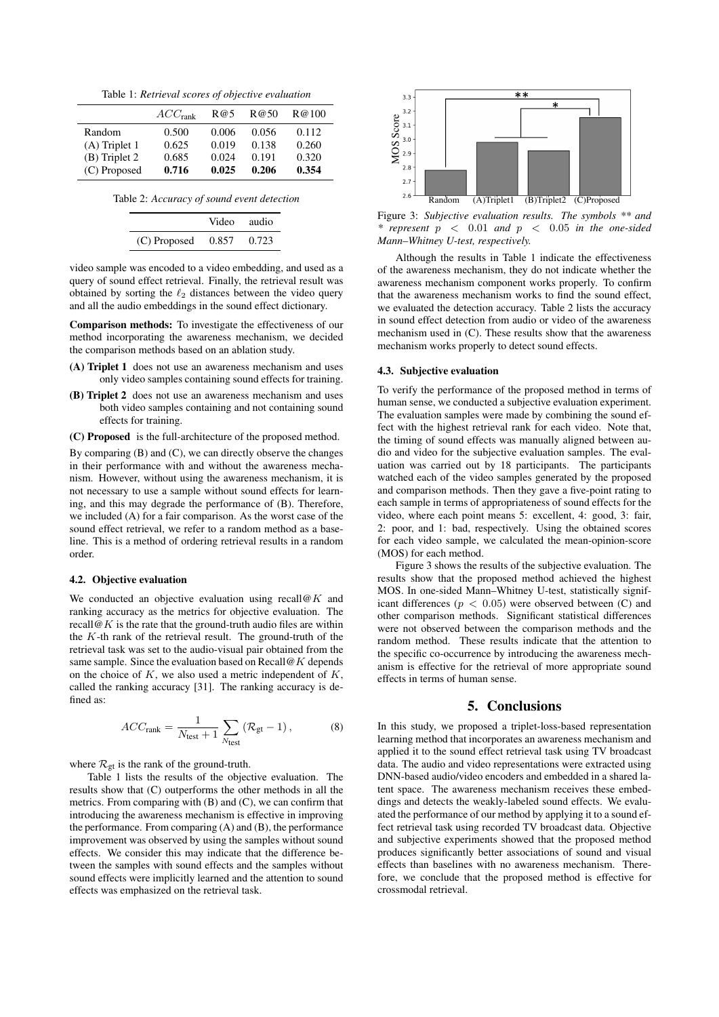Table 1: *Retrieval scores of objective evaluation*

|                 | ACC <sub>rank</sub> | R@5   | R@50  | R@100 |
|-----------------|---------------------|-------|-------|-------|
| Random          | 0.500               | 0.006 | 0.056 | 0.112 |
| $(A)$ Triplet 1 | 0.625               | 0.019 | 0.138 | 0.260 |
| $(B)$ Triplet 2 | 0.685               | 0.024 | 0.191 | 0.320 |
| (C) Proposed    | 0.716               | 0.025 | 0.206 | 0.354 |

Table 2: *Accuracy of sound event detection*

|                        | Video audio |       |
|------------------------|-------------|-------|
| $(C)$ Proposed $0.857$ |             | 0.723 |

video sample was encoded to a video embedding, and used as a query of sound effect retrieval. Finally, the retrieval result was obtained by sorting the  $\ell_2$  distances between the video query and all the audio embeddings in the sound effect dictionary.

Comparison methods: To investigate the effectiveness of our method incorporating the awareness mechanism, we decided the comparison methods based on an ablation study.

- (A) Triplet 1 does not use an awareness mechanism and uses only video samples containing sound effects for training.
- (B) Triplet 2 does not use an awareness mechanism and uses both video samples containing and not containing sound effects for training.
- (C) Proposed is the full-architecture of the proposed method.

By comparing (B) and (C), we can directly observe the changes in their performance with and without the awareness mechanism. However, without using the awareness mechanism, it is not necessary to use a sample without sound effects for learning, and this may degrade the performance of (B). Therefore, we included (A) for a fair comparison. As the worst case of the sound effect retrieval, we refer to a random method as a baseline. This is a method of ordering retrieval results in a random order.

#### 4.2. Objective evaluation

We conducted an objective evaluation using recall@K and ranking accuracy as the metrics for objective evaluation. The recall  $\mathcal{Q}_K$  is the rate that the ground-truth audio files are within the  $K$ -th rank of the retrieval result. The ground-truth of the retrieval task was set to the audio-visual pair obtained from the same sample. Since the evaluation based on Recall  $\omega K$  depends on the choice of  $K$ , we also used a metric independent of  $K$ , called the ranking accuracy [31]. The ranking accuracy is defined as:

$$
ACCrank = \frac{1}{N_{\text{test}} + 1} \sum_{N_{\text{test}}} (\mathcal{R}_{\text{gt}} - 1), \tag{8}
$$

where  $\mathcal{R}_{gt}$  is the rank of the ground-truth.

Table 1 lists the results of the objective evaluation. The results show that (C) outperforms the other methods in all the metrics. From comparing with (B) and (C), we can confirm that introducing the awareness mechanism is effective in improving the performance. From comparing (A) and (B), the performance improvement was observed by using the samples without sound effects. We consider this may indicate that the difference between the samples with sound effects and the samples without sound effects were implicitly learned and the attention to sound effects was emphasized on the retrieval task.



Figure 3: *Subjective evaluation results. The symbols \*\* and \* represent* p < 0.01 *and* p < 0.05 *in the one-sided Mann–Whitney U-test, respectively.*

Although the results in Table 1 indicate the effectiveness of the awareness mechanism, they do not indicate whether the awareness mechanism component works properly. To confirm that the awareness mechanism works to find the sound effect, we evaluated the detection accuracy. Table 2 lists the accuracy in sound effect detection from audio or video of the awareness mechanism used in (C). These results show that the awareness mechanism works properly to detect sound effects.

#### 4.3. Subjective evaluation

To verify the performance of the proposed method in terms of human sense, we conducted a subjective evaluation experiment. The evaluation samples were made by combining the sound effect with the highest retrieval rank for each video. Note that, the timing of sound effects was manually aligned between audio and video for the subjective evaluation samples. The evaluation was carried out by 18 participants. The participants watched each of the video samples generated by the proposed and comparison methods. Then they gave a five-point rating to each sample in terms of appropriateness of sound effects for the video, where each point means 5: excellent, 4: good, 3: fair, 2: poor, and 1: bad, respectively. Using the obtained scores for each video sample, we calculated the mean-opinion-score (MOS) for each method.

Figure 3 shows the results of the subjective evaluation. The results show that the proposed method achieved the highest MOS. In one-sided Mann–Whitney U-test, statistically significant differences ( $p < 0.05$ ) were observed between (C) and other comparison methods. Significant statistical differences were not observed between the comparison methods and the random method. These results indicate that the attention to the specific co-occurrence by introducing the awareness mechanism is effective for the retrieval of more appropriate sound effects in terms of human sense.

# 5. Conclusions

In this study, we proposed a triplet-loss-based representation learning method that incorporates an awareness mechanism and applied it to the sound effect retrieval task using TV broadcast data. The audio and video representations were extracted using DNN-based audio/video encoders and embedded in a shared latent space. The awareness mechanism receives these embeddings and detects the weakly-labeled sound effects. We evaluated the performance of our method by applying it to a sound effect retrieval task using recorded TV broadcast data. Objective and subjective experiments showed that the proposed method produces significantly better associations of sound and visual effects than baselines with no awareness mechanism. Therefore, we conclude that the proposed method is effective for crossmodal retrieval.